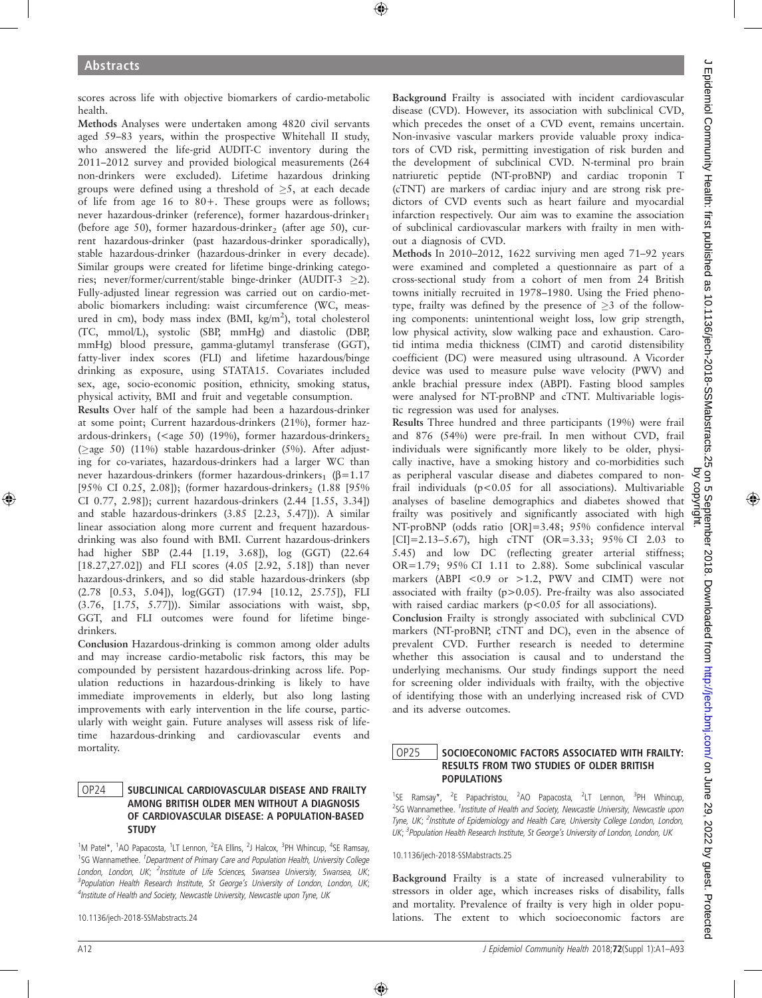scores across life with objective biomarkers of cardio-metabolic health.

Methods Analyses were undertaken among 4820 civil servants aged 59–83 years, within the prospective Whitehall II study, who answered the life-grid AUDIT-C inventory during the 2011–2012 survey and provided biological measurements (264 non-drinkers were excluded). Lifetime hazardous drinking groups were defined using a threshold of  $\geq$ 5, at each decade of life from age 16 to 80+. These groups were as follows; never hazardous-drinker (reference), former hazardous-drinker<sub>1</sub> (before age 50), former hazardous-drinker<sub>2</sub> (after age 50), current hazardous-drinker (past hazardous-drinker sporadically), stable hazardous-drinker (hazardous-drinker in every decade). Similar groups were created for lifetime binge-drinking categories; never/former/current/stable binge-drinker (AUDIT-3  $\geq$ 2). Fully-adjusted linear regression was carried out on cardio-metabolic biomarkers including: waist circumference (WC, measured in cm), body mass index (BMI, kg/m<sup>2</sup>), total cholesterol (TC, mmol/L), systolic (SBP, mmHg) and diastolic (DBP, mmHg) blood pressure, gamma-glutamyl transferase (GGT), fatty-liver index scores (FLI) and lifetime hazardous/binge drinking as exposure, using STATA15. Covariates included sex, age, socio-economic position, ethnicity, smoking status, physical activity, BMI and fruit and vegetable consumption.

Results Over half of the sample had been a hazardous-drinker at some point; Current hazardous-drinkers (21%), former hazardous-drinkers<sub>1</sub> (<age 50) (19%), former hazardous-drinkers<sub>2</sub> ( $>$ age 50) (11%) stable hazardous-drinker (5%). After adjusting for co-variates, hazardous-drinkers had a larger WC than never hazardous-drinkers (former hazardous-drinkers<sub>1</sub> ( $\beta$ =1.17 [95% CI 0.25, 2.08]); (former hazardous-drinkers<sub>2</sub> (1.88 [95%) CI 0.77, 2.98]); current hazardous-drinkers (2.44 [1.55, 3.34]) and stable hazardous-drinkers (3.85 [2.23, 5.47])). A similar linear association along more current and frequent hazardousdrinking was also found with BMI. Current hazardous-drinkers had higher SBP (2.44 [1.19, 3.68]), log (GGT) (22.64 [18.27,27.02]) and FLI scores (4.05 [2.92, 5.18]) than never hazardous-drinkers, and so did stable hazardous-drinkers (sbp (2.78 [0.53, 5.04]), log(GGT) (17.94 [10.12, 25.75]), FLI (3.76, [1.75, 5.77])). Similar associations with waist, sbp, GGT, and FLI outcomes were found for lifetime bingedrinkers.

Conclusion Hazardous-drinking is common among older adults and may increase cardio-metabolic risk factors, this may be compounded by persistent hazardous-drinking across life. Population reductions in hazardous-drinking is likely to have immediate improvements in elderly, but also long lasting improvements with early intervention in the life course, particularly with weight gain. Future analyses will assess risk of lifetime hazardous-drinking and cardiovascular events and mortality.

#### OP24 SUBCLINICAL CARDIOVASCULAR DISEASE AND FRAILTY AMONG BRITISH OLDER MEN WITHOUT A DIAGNOSIS OF CARDIOVASCULAR DISEASE: A POPULATION-BASED **STUDY**

<sup>1</sup>M Patel\*, <sup>1</sup>AO Papacosta, <sup>1</sup>LT Lennon, <sup>2</sup>EA Ellins, <sup>2</sup>J Halcox, <sup>3</sup>PH Whincup, <sup>4</sup>SE Ramsay, <sup>1</sup>SG Wannamethee. <sup>1</sup>Department of Primary Care and Population Health, University College London, London, UK; <sup>2</sup>Institute of Life Sciences, Swansea University, Swansea, UK; <sup>3</sup> Population Health Research Institute, St George's University of London, London, UK; <sup>4</sup>Institute of Health and Society, Newcastle University, Newcastle upon Tyne, UK

10.1136/jech-2018-SSMabstracts.24

Background Frailty is associated with incident cardiovascular disease (CVD). However, its association with subclinical CVD, which precedes the onset of a CVD event, remains uncertain. Non-invasive vascular markers provide valuable proxy indicators of CVD risk, permitting investigation of risk burden and the development of subclinical CVD. N-terminal pro brain natriuretic peptide (NT-proBNP) and cardiac troponin T (cTNT) are markers of cardiac injury and are strong risk predictors of CVD events such as heart failure and myocardial infarction respectively. Our aim was to examine the association of subclinical cardiovascular markers with frailty in men without a diagnosis of CVD.

Methods In 2010–2012, 1622 surviving men aged 71–92 years were examined and completed a questionnaire as part of a cross-sectional study from a cohort of men from 24 British towns initially recruited in 1978–1980. Using the Fried phenotype, frailty was defined by the presence of  $\geq 3$  of the following components: unintentional weight loss, low grip strength, low physical activity, slow walking pace and exhaustion. Carotid intima media thickness (CIMT) and carotid distensibility coefficient (DC) were measured using ultrasound. A Vicorder device was used to measure pulse wave velocity (PWV) and ankle brachial pressure index (ABPI). Fasting blood samples were analysed for NT-proBNP and cTNT. Multivariable logistic regression was used for analyses.

Results Three hundred and three participants (19%) were frail and 876 (54%) were pre-frail. In men without CVD, frail individuals were significantly more likely to be older, physically inactive, have a smoking history and co-morbidities such as peripheral vascular disease and diabetes compared to nonfrail individuals (p<0.05 for all associations). Multivariable analyses of baseline demographics and diabetes showed that frailty was positively and significantly associated with high NT-proBNP (odds ratio [OR]=3.48; 95% confidence interval  $[CI] = 2.13 - 5.67$ , high cTNT (OR=3.33; 95% CI 2.03 to 5.45) and low DC (reflecting greater arterial stiffness; OR=1.79; 95% CI 1.11 to 2.88). Some subclinical vascular markers (ABPI <0.9 or >1.2, PWV and CIMT) were not associated with frailty (p>0.05). Pre-frailty was also associated with raised cardiac markers (p<0.05 for all associations).

Conclusion Frailty is strongly associated with subclinical CVD markers (NT-proBNP, cTNT and DC), even in the absence of prevalent CVD. Further research is needed to determine whether this association is causal and to understand the underlying mechanisms. Our study findings support the need for screening older individuals with frailty, with the objective of identifying those with an underlying increased risk of CVD and its adverse outcomes.

### OP25 SOCIOECONOMIC FACTORS ASSOCIATED WITH FRAILTY: RESULTS FROM TWO STUDIES OF OLDER BRITISH POPULATIONS

<sup>1</sup>SE Ramsay\*, <sup>2</sup>E Papachristou, <sup>2</sup>AO Papacosta, <sup>2</sup>LT Lennon, <sup>3</sup>PH Whincup, <sup>2</sup>SG Wannamethee. <sup>1</sup>Institute of Health and Society, Newcastle University, Newcastle upon Tyne, UK; <sup>2</sup>Institute of Epidemiology and Health Care, University College London, London, UK; <sup>3</sup> Population Health Research Institute, St George's University of London, London, UK

10.1136/jech-2018-SSMabstracts.25

Background Frailty is a state of increased vulnerability to stressors in older age, which increases risks of disability, falls and mortality. Prevalence of frailty is very high in older populations. The extent to which socioeconomic factors are

copyr